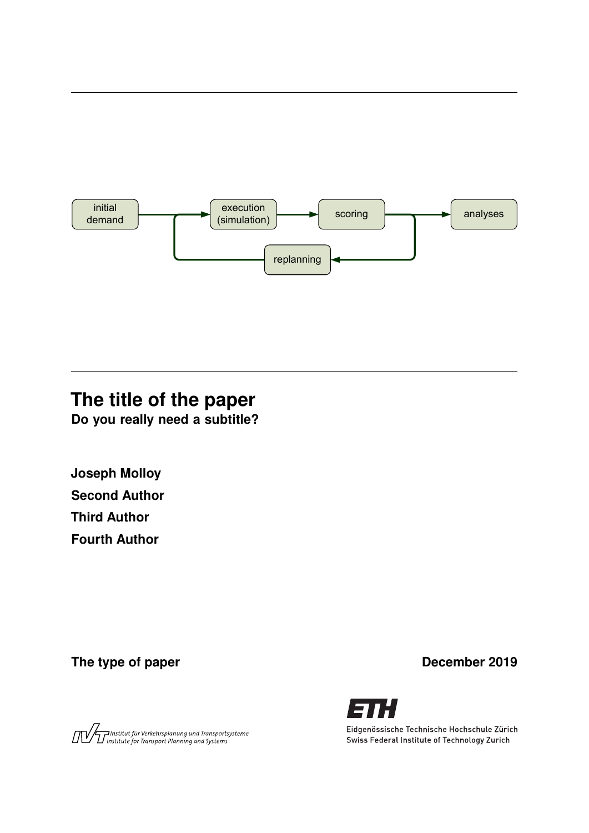

# **The title of the paper**

**Do you really need a subtitle?**

**Joseph Molloy Second Author Third Author Fourth Author**

The type of paper **December 2019** 





Eidgenössische Technische Hochschule Zürich Swiss Federal Institute of Technology Zurich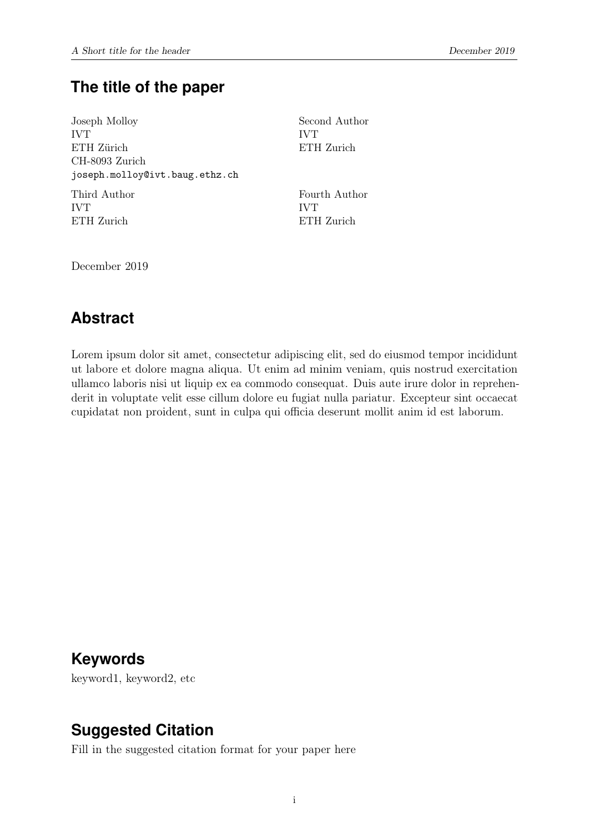# **The title of the paper**

Joseph Molloy IVT ETH Zürich CH-8093 Zurich joseph.molloy@ivt.baug.ethz.ch

Third Author IVT ETH Zurich

Second Author IVT ETH Zurich

Fourth Author IVT ETH Zurich

December 2019

# **Abstract**

Lorem ipsum dolor sit amet, consectetur adipiscing elit, sed do eiusmod tempor incididunt ut labore et dolore magna aliqua. Ut enim ad minim veniam, quis nostrud exercitation ullamco laboris nisi ut liquip ex ea commodo consequat. Duis aute irure dolor in reprehenderit in voluptate velit esse cillum dolore eu fugiat nulla pariatur. Excepteur sint occaecat cupidatat non proident, sunt in culpa qui officia deserunt mollit anim id est laborum.

# **Keywords**

keyword1, keyword2, etc

# **Suggested Citation**

Fill in the suggested citation format for your paper here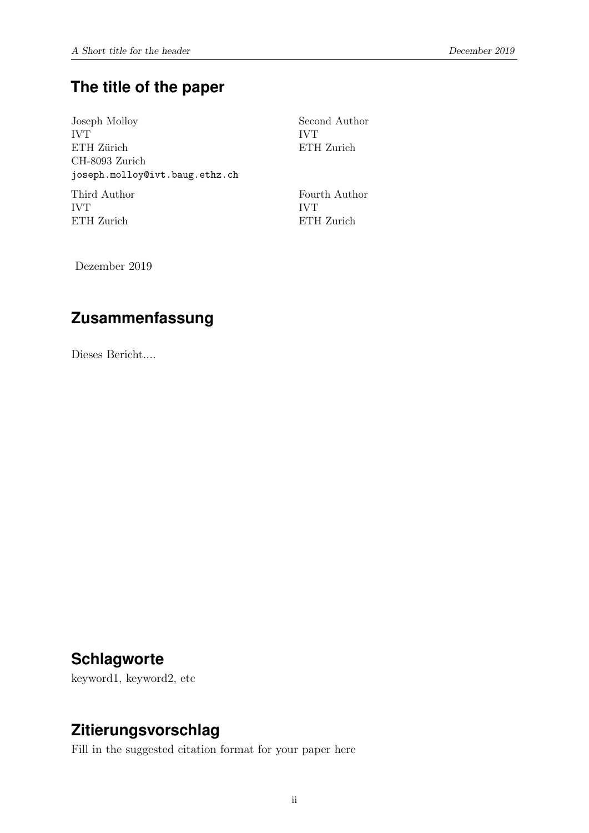# **The title of the paper**

Joseph Molloy IVT ETH Zürich CH-8093 Zurich joseph.molloy@ivt.baug.ethz.ch Third Author

IVT ETH Zurich Second Author IVT ETH Zurich

Fourth Author IVT ETH Zurich

Dezember 2019

# **Zusammenfassung**

Dieses Bericht....

# **Schlagworte**

keyword1, keyword2, etc

# **Zitierungsvorschlag**

Fill in the suggested citation format for your paper here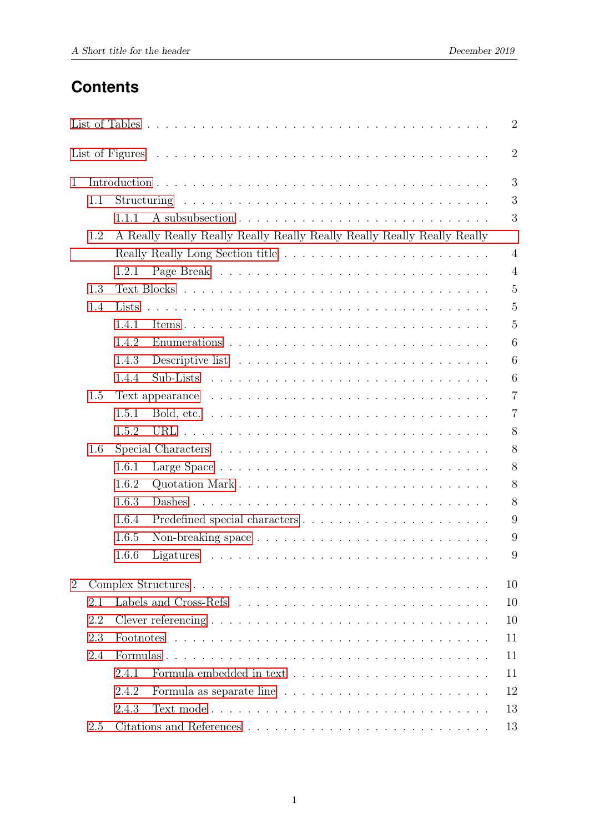# **Contents**

|                |     |       |                                                                         | $\overline{2}$ |  |  |  |  |
|----------------|-----|-------|-------------------------------------------------------------------------|----------------|--|--|--|--|
|                |     |       |                                                                         | $\overline{2}$ |  |  |  |  |
| $\mathbf{1}$   |     |       |                                                                         | 3              |  |  |  |  |
|                | 1.1 |       |                                                                         | 3              |  |  |  |  |
|                |     | 1.1.1 |                                                                         | 3              |  |  |  |  |
|                | 1.2 |       | A Really Really Really Really Really Really Really Really Really Really |                |  |  |  |  |
|                |     |       |                                                                         | $\overline{4}$ |  |  |  |  |
|                |     | 1.2.1 |                                                                         | $\overline{4}$ |  |  |  |  |
|                | 1.3 |       |                                                                         | $\overline{5}$ |  |  |  |  |
|                | 1.4 | Lists |                                                                         | 5              |  |  |  |  |
|                |     | 1.4.1 |                                                                         | $\overline{5}$ |  |  |  |  |
|                |     | 1.4.2 |                                                                         | 6              |  |  |  |  |
|                |     | 1.4.3 |                                                                         | 6              |  |  |  |  |
|                |     | 1.4.4 |                                                                         | 6              |  |  |  |  |
|                | 1.5 |       |                                                                         | $\overline{7}$ |  |  |  |  |
|                |     | 1.5.1 |                                                                         | $\overline{7}$ |  |  |  |  |
|                |     | 1.5.2 |                                                                         | 8              |  |  |  |  |
|                | 1.6 |       |                                                                         | 8              |  |  |  |  |
|                |     | 1.6.1 |                                                                         | 8              |  |  |  |  |
|                |     | 1.6.2 |                                                                         | 8              |  |  |  |  |
|                |     | 1.6.3 |                                                                         | 8              |  |  |  |  |
|                |     | 1.6.4 |                                                                         | 9              |  |  |  |  |
|                |     | 1.6.5 |                                                                         | 9              |  |  |  |  |
|                |     | 1.6.6 |                                                                         | 9              |  |  |  |  |
| $\overline{2}$ | 10  |       |                                                                         |                |  |  |  |  |
|                | 2.1 |       |                                                                         |                |  |  |  |  |
|                | 2.2 |       |                                                                         |                |  |  |  |  |
|                | 2.3 |       |                                                                         |                |  |  |  |  |
|                | 2.4 |       |                                                                         | 11             |  |  |  |  |
|                |     | 2.4.1 |                                                                         | 11             |  |  |  |  |
|                |     | 2.4.2 |                                                                         | 12             |  |  |  |  |
|                |     | 2.4.3 |                                                                         | 13             |  |  |  |  |
|                | 2.5 |       |                                                                         | 13             |  |  |  |  |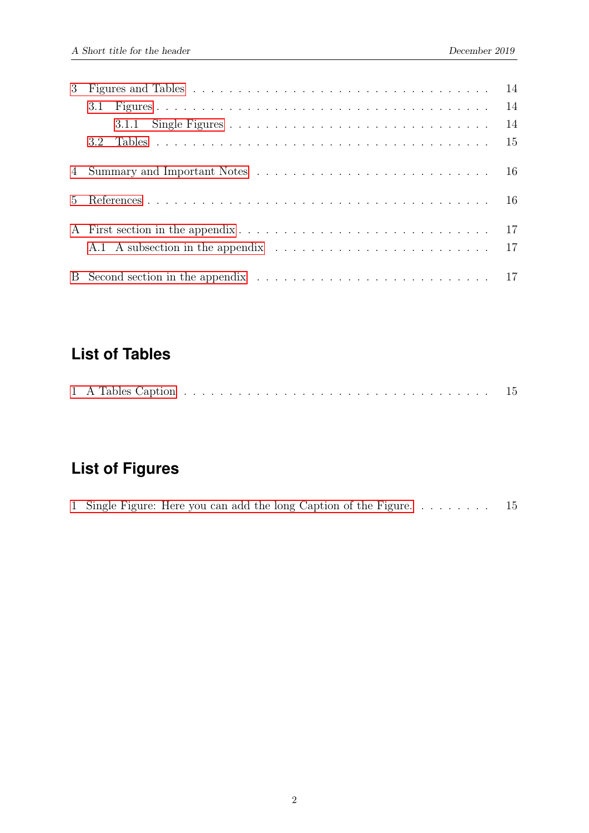| 3 <sup>1</sup> |                  |  |
|----------------|------------------|--|
|                |                  |  |
|                |                  |  |
|                | 3.2 <sub>1</sub> |  |
|                |                  |  |
| $5 -$          |                  |  |
|                |                  |  |
|                |                  |  |
|                |                  |  |

# <span id="page-4-0"></span>**List of Tables**

|--|--|

# <span id="page-4-1"></span>**List of Figures**

|  |  |  |  | 1 Single Figure: Here you can add the long Caption of the Figure 15 |  |  |
|--|--|--|--|---------------------------------------------------------------------|--|--|
|--|--|--|--|---------------------------------------------------------------------|--|--|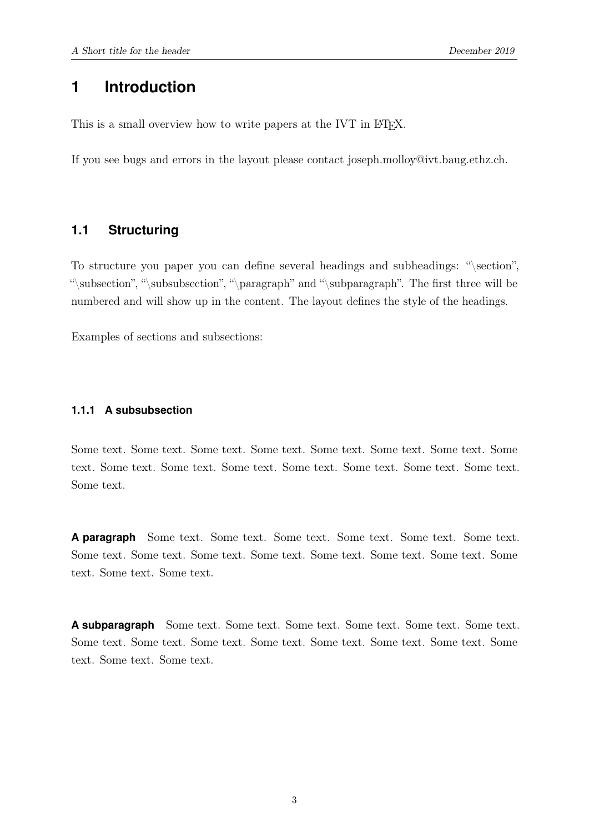### <span id="page-5-0"></span>**1 Introduction**

This is a small overview how to write papers at the IVT in IAT<sub>EX</sub>.

<span id="page-5-1"></span>If you see bugs and errors in the layout please contact joseph.molloy@ivt.baug.ethz.ch.

#### **1.1 Structuring**

To structure you paper you can define several headings and subheadings: "\section", "\subsection", "\subsubsection", "\paragraph" and "\subparagraph". The first three will be numbered and will show up in the content. The layout defines the style of the headings.

<span id="page-5-2"></span>Examples of sections and subsections:

#### **1.1.1 A subsubsection**

Some text. Some text. Some text. Some text. Some text. Some text. Some text. Some text. Some text. Some text. Some text. Some text. Some text. Some text. Some text. Some text.

**A paragraph** Some text. Some text. Some text. Some text. Some text. Some text. Some text. Some text. Some text. Some text. Some text. Some text. Some text. Some text. Some text. Some text.

**A subparagraph** Some text. Some text. Some text. Some text. Some text. Some text. Some text. Some text. Some text. Some text. Some text. Some text. Some text. Some text. Some text. Some text.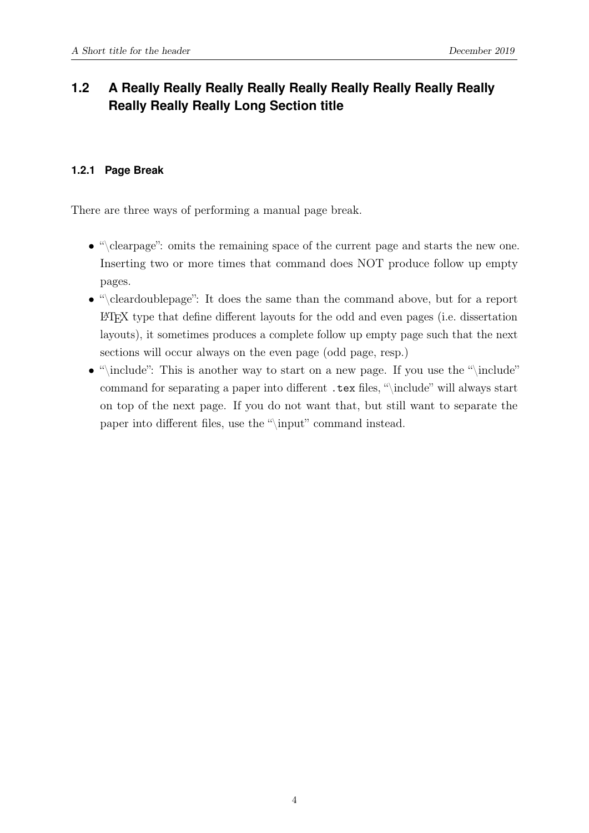# <span id="page-6-1"></span><span id="page-6-0"></span>**1.2 A Really Really Really Really Really Really Really Really Really Really Really Really Long Section title**

#### **1.2.1 Page Break**

There are three ways of performing a manual page break.

- "\clearpage": omits the remaining space of the current page and starts the new one. Inserting two or more times that command does NOT produce follow up empty pages.
- "\cleardoublepage": It does the same than the command above, but for a report LATEX type that define different layouts for the odd and even pages (i.e. dissertation layouts), it sometimes produces a complete follow up empty page such that the next sections will occur always on the even page (odd page, resp.)
- "\include": This is another way to start on a new page. If you use the "\include" command for separating a paper into different .tex files, "\include" will always start on top of the next page. If you do not want that, but still want to separate the paper into different files, use the "\input" command instead.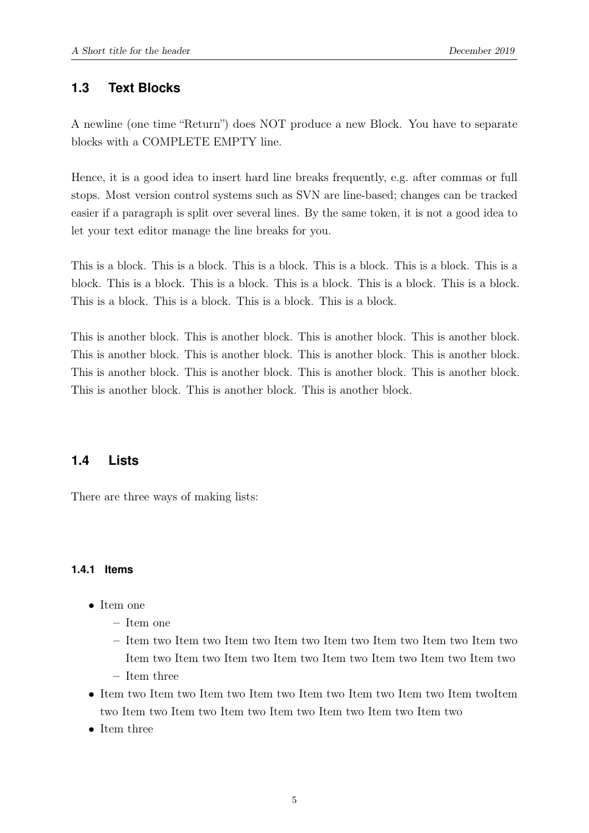#### <span id="page-7-0"></span>**1.3 Text Blocks**

A newline (one time "Return") does NOT produce a new Block. You have to separate blocks with a COMPLETE EMPTY line.

Hence, it is a good idea to insert hard line breaks frequently, e.g. after commas or full stops. Most version control systems such as SVN are line-based; changes can be tracked easier if a paragraph is split over several lines. By the same token, it is not a good idea to let your text editor manage the line breaks for you.

This is a block. This is a block. This is a block. This is a block. This is a block. This is a block. This is a block. This is a block. This is a block. This is a block. This is a block. This is a block. This is a block. This is a block. This is a block.

<span id="page-7-1"></span>This is another block. This is another block. This is another block. This is another block. This is another block. This is another block. This is another block. This is another block. This is another block. This is another block. This is another block. This is another block. This is another block. This is another block. This is another block.

#### **1.4 Lists**

<span id="page-7-2"></span>There are three ways of making lists:

#### **1.4.1 Items**

- Item one
	- Item one
	- Item two Item two Item two Item two Item two Item two Item two Item two Item two Item two Item two Item two Item two Item two Item two Item two
	- Item three
- Item two Item two Item two Item two Item two Item two Item two Item twoItem two Item two Item two Item two Item two Item two Item two Item two
- Item three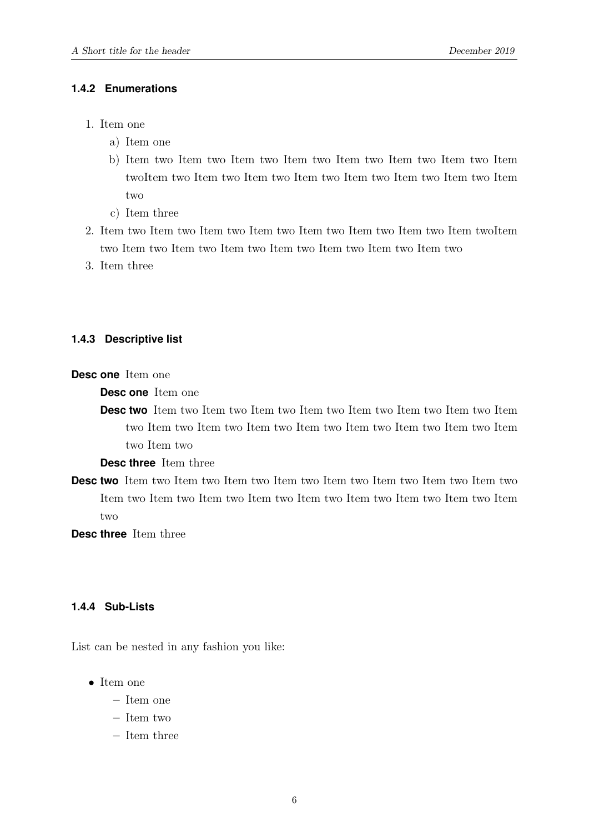#### <span id="page-8-0"></span>**1.4.2 Enumerations**

- 1. Item one
	- a) Item one
	- b) Item two Item two Item two Item two Item two Item two Item two Item twoItem two Item two Item two Item two Item two Item two Item two Item two
	- c) Item three
- 2. Item two Item two Item two Item two Item two Item two Item two Item twoItem two Item two Item two Item two Item two Item two Item two Item two
- <span id="page-8-1"></span>3. Item three

#### **1.4.3 Descriptive list**

**Desc one** Item one

**Desc one** Item one

**Desc two** Item two Item two Item two Item two Item two Item two Item two Item two Item two Item two Item two Item two Item two Item two Item two Item two Item two

**Desc three** Item three

**Desc two** Item two Item two Item two Item two Item two Item two Item two Item two Item two Item two Item two Item two Item two Item two Item two Item two Item two

<span id="page-8-2"></span>**Desc three** Item three

#### **1.4.4 Sub-Lists**

List can be nested in any fashion you like:

- Item one
	- Item one
	- Item two
	- Item three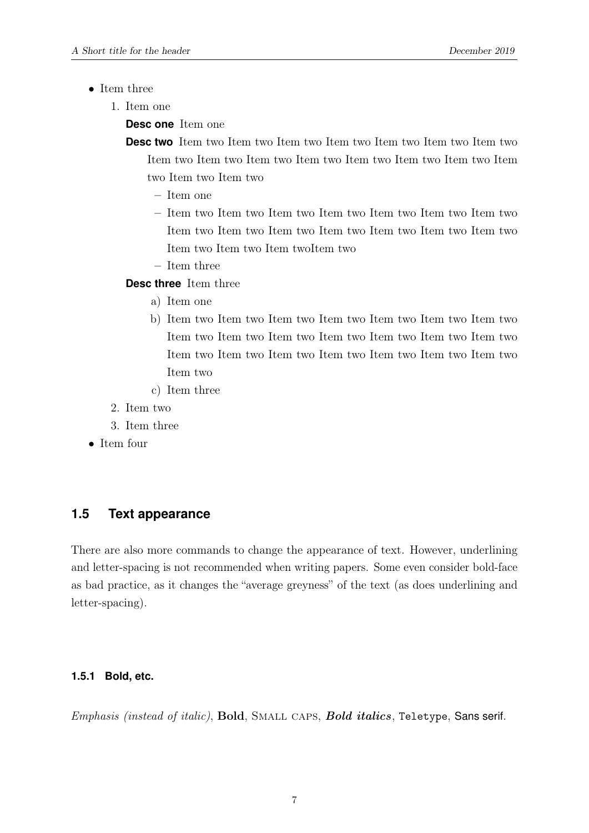- Item three
	- 1. Item one

**Desc one** Item one

**Desc two** Item two Item two Item two Item two Item two Item two Item two Item two Item two Item two Item two Item two Item two Item two Item two Item two Item two

- Item one
- Item two Item two Item two Item two Item two Item two Item two Item two Item two Item two Item two Item two Item two Item two Item two Item two Item twoItem two
- Item three

#### **Desc three** Item three

- a) Item one
- b) Item two Item two Item two Item two Item two Item two Item two Item two Item two Item two Item two Item two Item two Item two Item two Item two Item two Item two Item two Item two Item two Item two
- c) Item three
- 2. Item two
- 3. Item three
- <span id="page-9-0"></span>• Item four

### **1.5 Text appearance**

There are also more commands to change the appearance of text. However, underlining and letter-spacing is not recommended when writing papers. Some even consider bold-face as bad practice, as it changes the "average greyness" of the text (as does underlining and letter-spacing).

#### <span id="page-9-1"></span>**1.5.1 Bold, etc.**

Emphasis (instead of italic), Bold, SMALL CAPS, Bold italics, Teletype, Sans serif.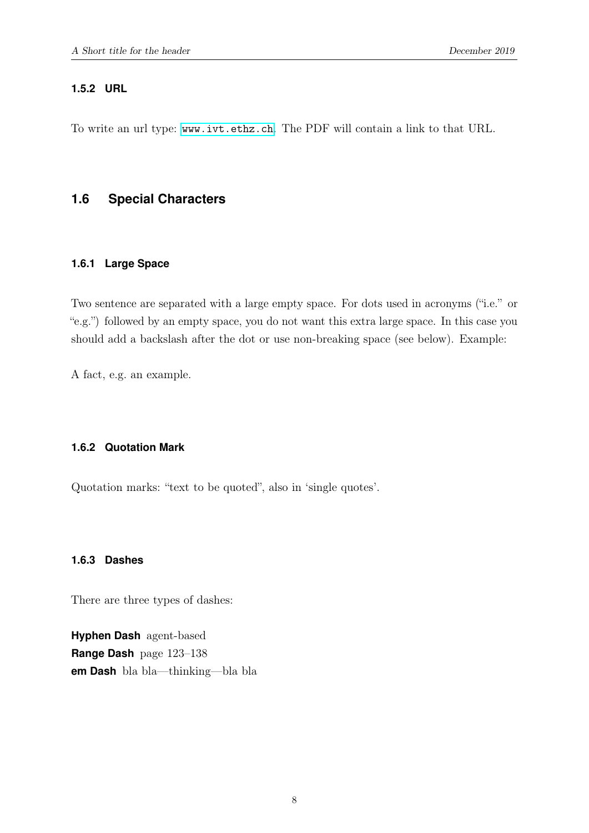#### <span id="page-10-0"></span>**1.5.2 URL**

<span id="page-10-1"></span>To write an url type: <www.ivt.ethz.ch>. The PDF will contain a link to that URL.

#### <span id="page-10-2"></span>**1.6 Special Characters**

#### **1.6.1 Large Space**

Two sentence are separated with a large empty space. For dots used in acronyms ("i.e." or "e.g.") followed by an empty space, you do not want this extra large space. In this case you should add a backslash after the dot or use non-breaking space (see below). Example:

<span id="page-10-3"></span>A fact, e.g. an example.

#### **1.6.2 Quotation Mark**

<span id="page-10-4"></span>Quotation marks: "text to be quoted", also in 'single quotes'.

#### **1.6.3 Dashes**

There are three types of dashes:

**Hyphen Dash** agent-based **Range Dash** page 123–138 **em Dash** bla bla—thinking—bla bla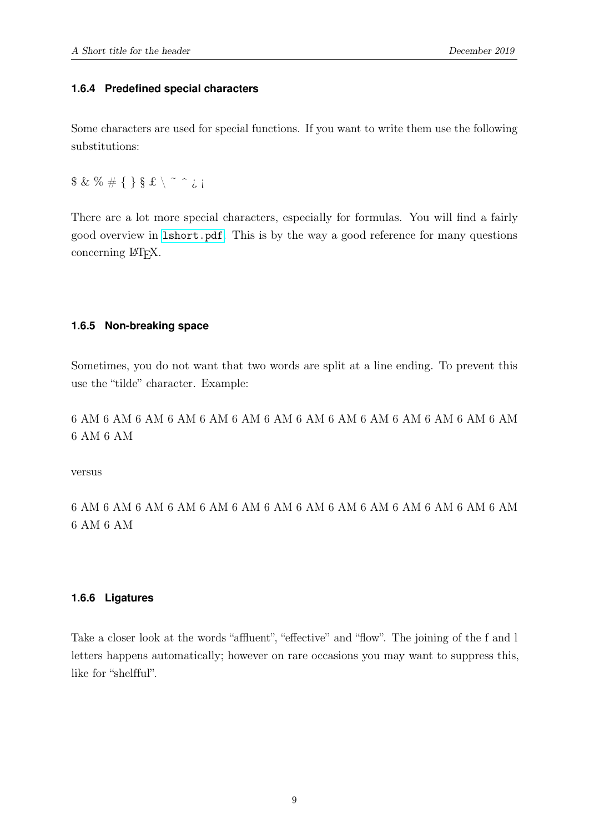#### <span id="page-11-0"></span>**1.6.4 Predefined special characters**

Some characters are used for special functions. If you want to write them use the following substitutions:

 $$ \& \% \# {\} \$ \& \ \~ \~ \~ \$ 

There are a lot more special characters, especially for formulas. You will find a fairly good overview in [lshort.pdf](http://www.ctan.org/tex-archive/info/lshort/english/lshort.pdf). This is by the way a good reference for many questions concerning L<sup>AT</sup>FX.

#### <span id="page-11-1"></span>**1.6.5 Non-breaking space**

Sometimes, you do not want that two words are split at a line ending. To prevent this use the "tilde" character. Example:

6 AM 6 AM 6 AM 6 AM 6 AM 6 AM 6 AM 6 AM 6 AM 6 AM 6 AM 6 AM 6 AM 6 AM 6 AM 6 AM

versus

<span id="page-11-2"></span>6 AM 6 AM 6 AM 6 AM 6 AM 6 AM 6 AM 6 AM 6 AM 6 AM 6 AM 6 AM 6 AM 6 AM 6 AM 6 AM

#### **1.6.6 Ligatures**

Take a closer look at the words "affluent", "effective" and "flow". The joining of the f and l letters happens automatically; however on rare occasions you may want to suppress this, like for "shelfful".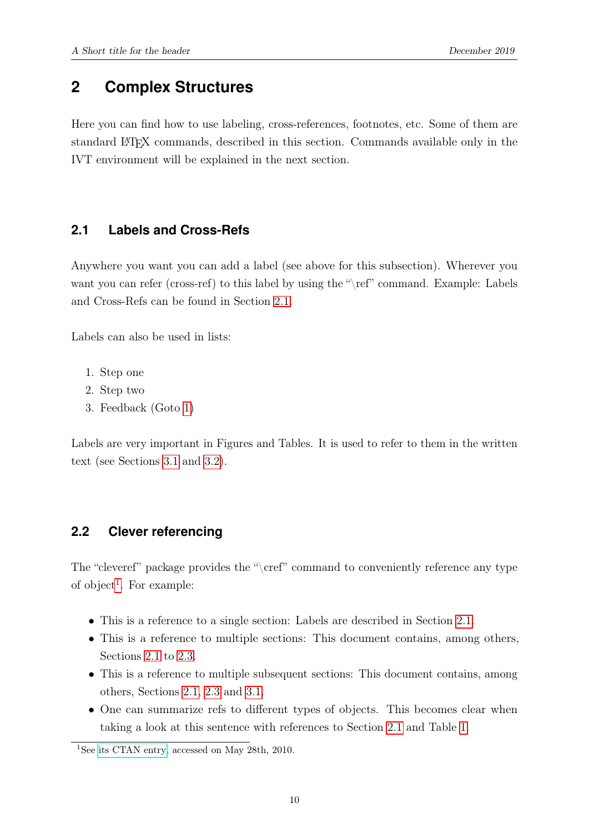# <span id="page-12-0"></span>**2 Complex Structures**

<span id="page-12-1"></span>Here you can find how to use labeling, cross-references, footnotes, etc. Some of them are standard LATEX commands, described in this section. Commands available only in the IVT environment will be explained in the next section.

#### **2.1 Labels and Cross-Refs**

Anywhere you want you can add a label (see above for this subsection). Wherever you want you can refer (cross-ref) to this label by using the "\ref" command. Example: Labels and Cross-Refs can be found in Section [2.1.](#page-12-1)

Labels can also be used in lists:

- <span id="page-12-3"></span>1. Step one
- 2. Step two
- 3. Feedback (Goto [1\)](#page-12-3)

<span id="page-12-2"></span>Labels are very important in Figures and Tables. It is used to refer to them in the written text (see Sections [3.1](#page-16-1) and [3.2\)](#page-17-0).

#### **2.2 Clever referencing**

The "cleveref" package provides the "\cref" command to conveniently reference any type of object<sup>[1](#page-12-4)</sup>. For example:

- This is a reference to a single section: Labels are described in Section [2.1.](#page-12-1)
- This is a reference to multiple sections: This document contains, among others, Sections [2.1](#page-12-1) to [2.3.](#page-13-0)
- This is a reference to multiple subsequent sections: This document contains, among others, Sections [2.1,](#page-12-1) [2.3](#page-13-0) and [3.1.](#page-16-1)
- One can summarize refs to different types of objects. This becomes clear when taking a look at this sentence with references to Section [2.1](#page-12-1) and Table [1.](#page-17-1)

<span id="page-12-4"></span><sup>&</sup>lt;sup>1</sup>See [its CTAN entry,](http://www.ctan.org/tex-archive/help/Catalogue/entries/cleveref.html) accessed on May 28th, 2010.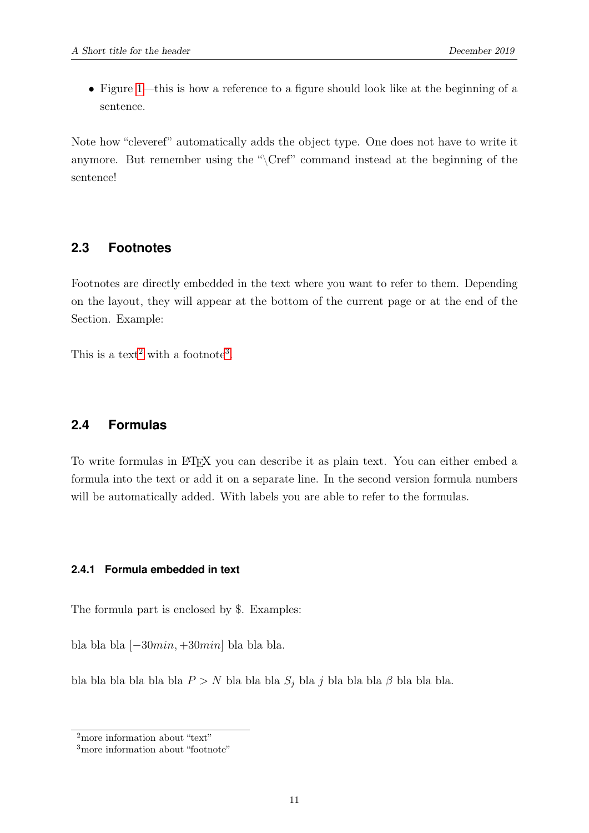• Figure [1—](#page-17-2)this is how a reference to a figure should look like at the beginning of a sentence.

<span id="page-13-0"></span>Note how "cleveref" automatically adds the object type. One does not have to write it anymore. But remember using the "\Cref" command instead at the beginning of the sentence!

#### **2.3 Footnotes**

Footnotes are directly embedded in the text where you want to refer to them. Depending on the layout, they will appear at the bottom of the current page or at the end of the Section. Example:

<span id="page-13-1"></span>This is a text<sup>[2](#page-13-3)</sup> with a footnote<sup>[3](#page-13-4)</sup>.

#### **2.4 Formulas**

To write formulas in L<sup>AT</sup>EX you can describe it as plain text. You can either embed a formula into the text or add it on a separate line. In the second version formula numbers will be automatically added. With labels you are able to refer to the formulas.

#### <span id="page-13-2"></span>**2.4.1 Formula embedded in text**

The formula part is enclosed by \$. Examples:

bla bla bla  $[-30min, +30min]$  bla bla bla.

bla bla bla bla bla  $P > N$  bla bla  $S_j$  bla  $j$  bla bla  $\beta$  bla bla bla.

<span id="page-13-3"></span><sup>&</sup>lt;sup>2</sup>more information about "text"

<span id="page-13-4"></span><sup>&</sup>lt;sup>3</sup>more information about "footnote"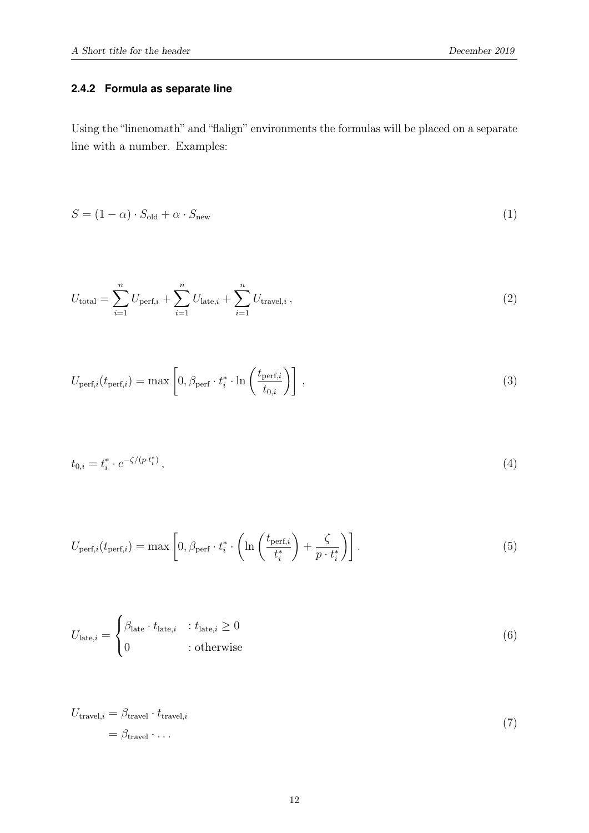#### <span id="page-14-0"></span>**2.4.2 Formula as separate line**

Using the "linenomath" and "flalign" environments the formulas will be placed on a separate line with a number. Examples:

$$
S = (1 - \alpha) \cdot S_{\text{old}} + \alpha \cdot S_{\text{new}} \tag{1}
$$

<span id="page-14-1"></span>
$$
U_{\text{total}} = \sum_{i=1}^{n} U_{\text{perf},i} + \sum_{i=1}^{n} U_{\text{late},i} + \sum_{i=1}^{n} U_{\text{travel},i},
$$
\n(2)

$$
U_{\text{perf},i}(t_{\text{perf},i}) = \max\left[0, \beta_{\text{perf}} \cdot t_i^* \cdot \ln\left(\frac{t_{\text{perf},i}}{t_{0,i}}\right)\right],\tag{3}
$$

$$
t_{0,i} = t_i^* \cdot e^{-\zeta/(p \cdot t_i^*)}, \tag{4}
$$

$$
U_{\text{perf},i}(t_{\text{perf},i}) = \max\left[0, \beta_{\text{perf}} \cdot t_i^* \cdot \left(\ln\left(\frac{t_{\text{perf},i}}{t_i^*}\right) + \frac{\zeta}{p \cdot t_i^*}\right)\right].\tag{5}
$$

$$
U_{\text{late},i} = \begin{cases} \beta_{\text{late}} \cdot t_{\text{late},i} & \text{if } t_{\text{late},i} \ge 0 \\ 0 & \text{if } t_{\text{active}} \end{cases} \tag{6}
$$

<span id="page-14-2"></span>
$$
U_{\text{travel},i} = \beta_{\text{travel}} \cdot t_{\text{travel},i}
$$
  
=  $\beta_{\text{travel}} \cdot \dots$  (7)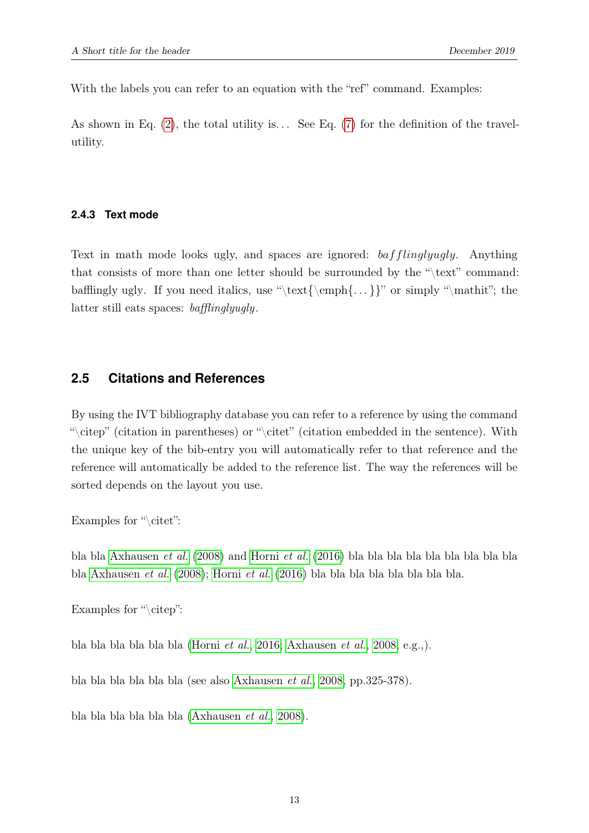With the labels you can refer to an equation with the "ref" command. Examples:

<span id="page-15-0"></span>As shown in Eq.  $(2)$ , the total utility is... See Eq.  $(7)$  for the definition of the travelutility.

#### **2.4.3 Text mode**

Text in math mode looks ugly, and spaces are ignored: bafflinglyugly. Anything that consists of more than one letter should be surrounded by the "\text" command: bafflingly ugly. If you need italics, use "\text{\emph{...}}" or simply "\mathit"; the latter still eats spaces: bafflinglyugly.

#### <span id="page-15-1"></span>**2.5 Citations and References**

By using the IVT bibliography database you can refer to a reference by using the command "\citep" (citation in parentheses) or "\citet" (citation embedded in the sentence). With the unique key of the bib-entry you will automatically refer to that reference and the reference will automatically be added to the reference list. The way the references will be sorted depends on the layout you use.

Examples for "\citet":

bla bla [Axhausen](#page-18-2) et al. [\(2008\)](#page-18-2) and [Horni](#page-18-3) et al. [\(2016\)](#page-18-3) bla bla bla bla bla bla bla bla bla bla [Axhausen](#page-18-2) et al. [\(2008\)](#page-18-2); [Horni](#page-18-3) et al. [\(2016\)](#page-18-3) bla bla bla bla bla bla bla bla.

Examples for "\citep":

bla bla bla bla bla bla [\(Horni](#page-18-3) et al., [2016;](#page-18-3) [Axhausen](#page-18-2) et al., [2008,](#page-18-2) e.g.,).

bla bla bla bla bla bla (see also [Axhausen](#page-18-2) et al., [2008,](#page-18-2) pp.325-378).

bla bla bla bla bla bla [\(Axhausen](#page-18-2) et al., [2008\)](#page-18-2).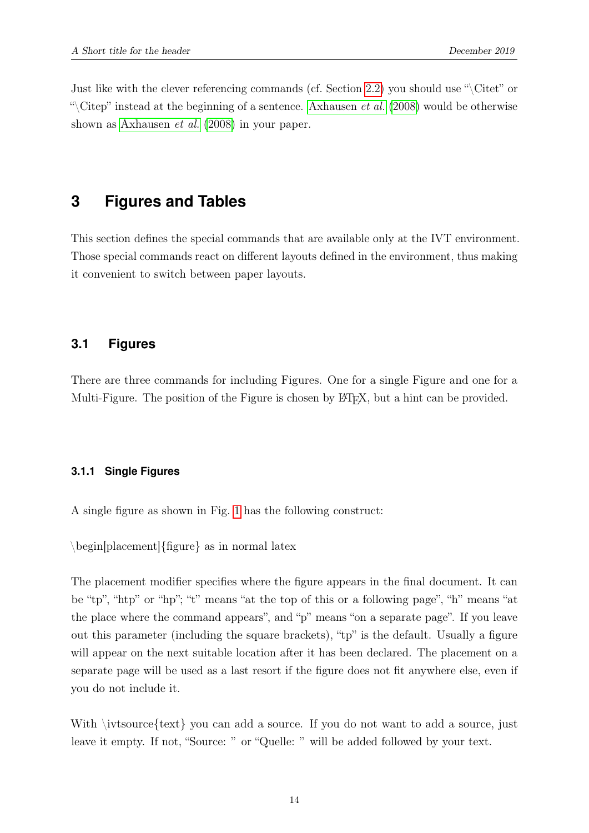<span id="page-16-0"></span>Just like with the clever referencing commands (cf. Section [2.2\)](#page-12-2) you should use " $\text{Citet}$ " or "\Citep" instead at the beginning of a sentence. [Axhausen](#page-18-2) *et al.* [\(2008\)](#page-18-2) would be otherwise shown as [Axhausen](#page-18-2) et al. [\(2008\)](#page-18-2) in your paper.

### **3 Figures and Tables**

<span id="page-16-1"></span>This section defines the special commands that are available only at the IVT environment. Those special commands react on different layouts defined in the environment, thus making it convenient to switch between paper layouts.

#### **3.1 Figures**

<span id="page-16-2"></span>There are three commands for including Figures. One for a single Figure and one for a Multi-Figure. The position of the Figure is chosen by L<sup>AT</sup>EX, but a hint can be provided.

#### **3.1.1 Single Figures**

A single figure as shown in Fig. [1](#page-17-2) has the following construct:

\begin[placement]{figure} as in normal latex

The placement modifier specifies where the figure appears in the final document. It can be "tp", "htp" or "hp"; "t" means "at the top of this or a following page", "h" means "at the place where the command appears", and "p" means "on a separate page". If you leave out this parameter (including the square brackets), "tp" is the default. Usually a figure will appear on the next suitable location after it has been declared. The placement on a separate page will be used as a last resort if the figure does not fit anywhere else, even if you do not include it.

With \ivtsource{text} you can add a source. If you do not want to add a source, just leave it empty. If not, "Source: " or "Quelle: " will be added followed by your text.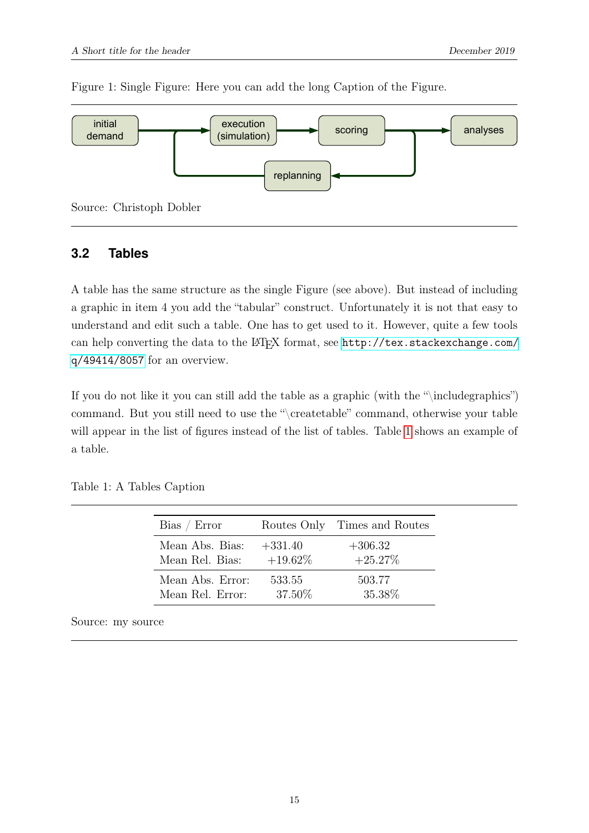<span id="page-17-2"></span>

Figure 1: Single Figure: Here you can add the long Caption of the Figure.

#### <span id="page-17-0"></span>**3.2 Tables**

A table has the same structure as the single Figure (see above). But instead of including a graphic in item 4 you add the "tabular" construct. Unfortunately it is not that easy to understand and edit such a table. One has to get used to it. However, quite a few tools can help converting the data to the LATEX format, see [http://tex.stackexchange.com/](http://tex.stackexchange.com/q/49414/8057) [q/49414/8057](http://tex.stackexchange.com/q/49414/8057) for an overview.

If you do not like it you can still add the table as a graphic (with the "\includegraphics") command. But you still need to use the "\createtable" command, otherwise your table will appear in the list of figures instead of the list of tables. Table [1](#page-17-1) shows an example of a table.

| Bias / Error     |            | Routes Only Times and Routes |
|------------------|------------|------------------------------|
| Mean Abs. Bias:  | $+331.40$  | $+306.32$                    |
| Mean Rel. Bias:  | $+19.62\%$ | $+25.27\%$                   |
| Mean Abs. Error: | 533.55     | 503.77                       |
| Mean Rel. Error: | 37.50\%    | 35.38\%                      |

<span id="page-17-1"></span>Table 1: A Tables Caption

Source: my source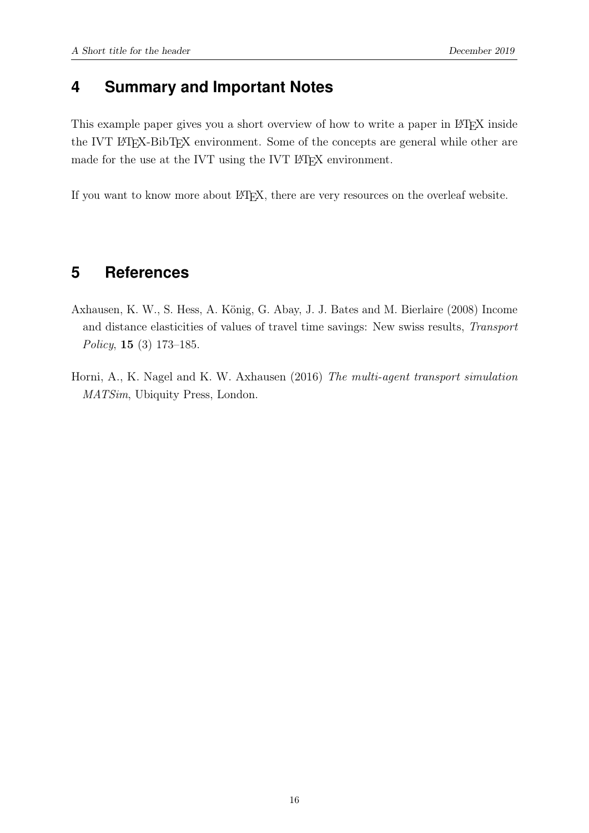# <span id="page-18-0"></span>**4 Summary and Important Notes**

This example paper gives you a short overview of how to write a paper in LAT<sub>E</sub>X inside the IVT LAT<sub>EX</sub>-BibT<sub>EX</sub> environment. Some of the concepts are general while other are made for the use at the IVT using the IVT LATEX environment.

<span id="page-18-1"></span>If you want to know more about LATEX, there are very resources on the overleaf website.

# **5 References**

- <span id="page-18-2"></span>Axhausen, K. W., S. Hess, A. König, G. Abay, J. J. Bates and M. Bierlaire (2008) Income and distance elasticities of values of travel time savings: New swiss results, Transport Policy, 15 (3) 173–185.
- <span id="page-18-3"></span>Horni, A., K. Nagel and K. W. Axhausen (2016) The multi-agent transport simulation MATSim, Ubiquity Press, London.